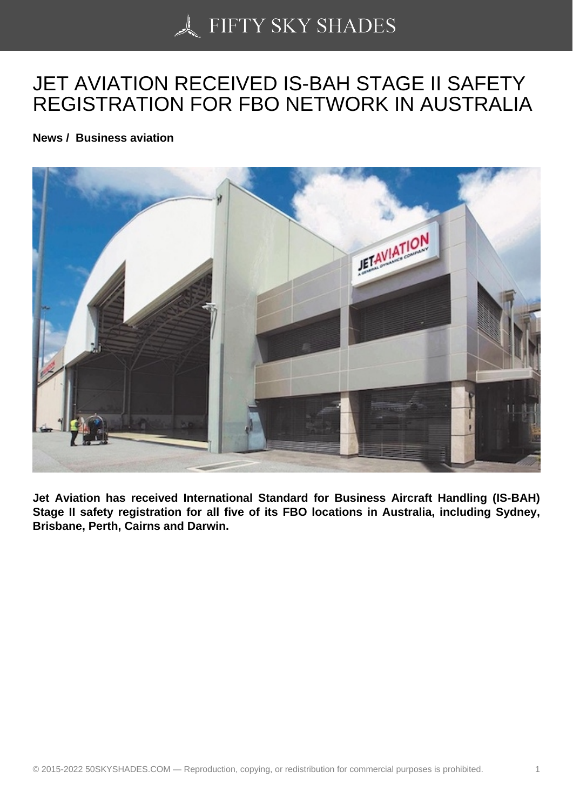## [JET AVIATION RECEI](https://50skyshades.com)VED IS-BAH STAGE II SAFETY REGISTRATION FOR FBO NETWORK IN AUSTRALIA

News / Business aviation

Jet Aviation has received International Standard for Business Aircraft Handling (IS-BAH) Stage II safety registration for all five of its FBO locations in Australia, including Sydney, Brisbane, Perth, Cairns and Darwin.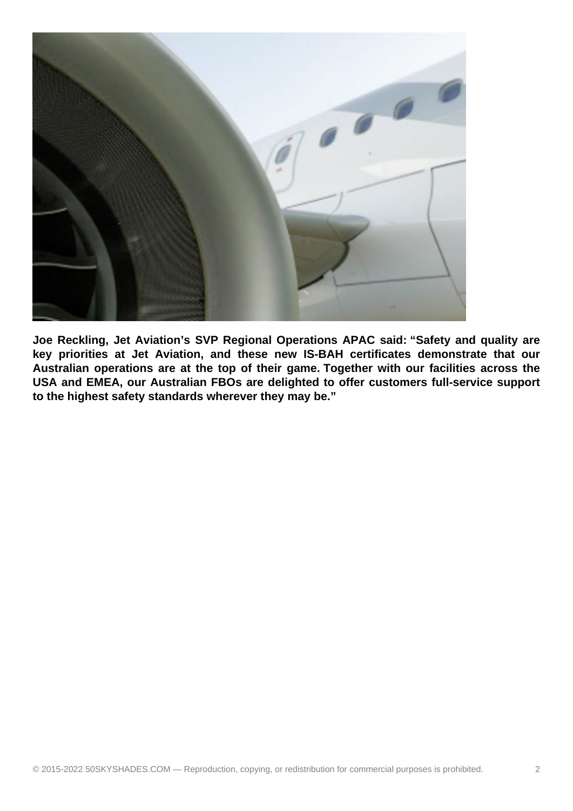

**Joe Reckling, Jet Aviation's SVP Regional Operations APAC said: "Safety and quality are key priorities at Jet Aviation, and these new IS-BAH certificates demonstrate that our Australian operations are at the top of their game. Together with our facilities across the USA and EMEA, our Australian FBOs are delighted to offer customers full-service support to the highest safety standards wherever they may be."**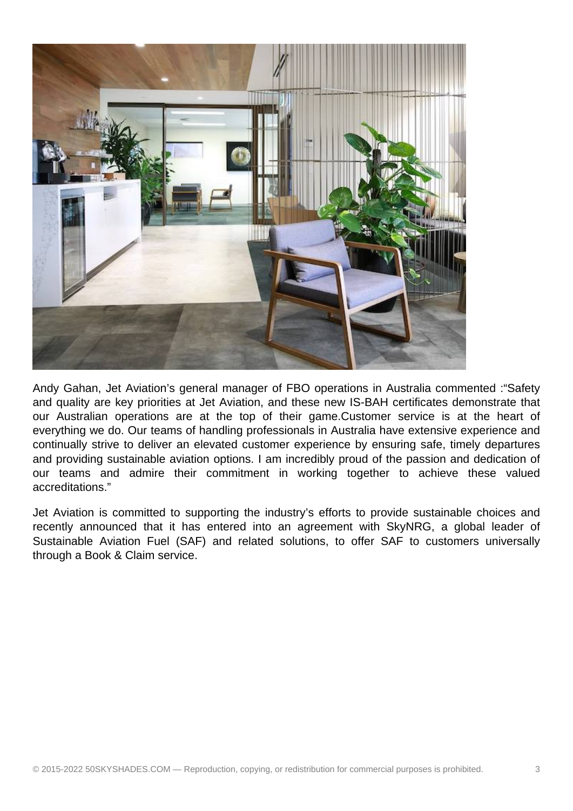

Andy Gahan, Jet Aviation's general manager of FBO operations in Australia commented :"Safety and quality are key priorities at Jet Aviation, and these new IS-BAH certificates demonstrate that our Australian operations are at the top of their game.Customer service is at the heart of everything we do. Our teams of handling professionals in Australia have extensive experience and continually strive to deliver an elevated customer experience by ensuring safe, timely departures and providing sustainable aviation options. I am incredibly proud of the passion and dedication of our teams and admire their commitment in working together to achieve these valued accreditations."

Jet Aviation is committed to supporting the industry's efforts to provide sustainable choices and recently announced that it has entered into an agreement with SkyNRG, a global leader of Sustainable Aviation Fuel (SAF) and related solutions, to offer SAF to customers universally through a Book & Claim service.